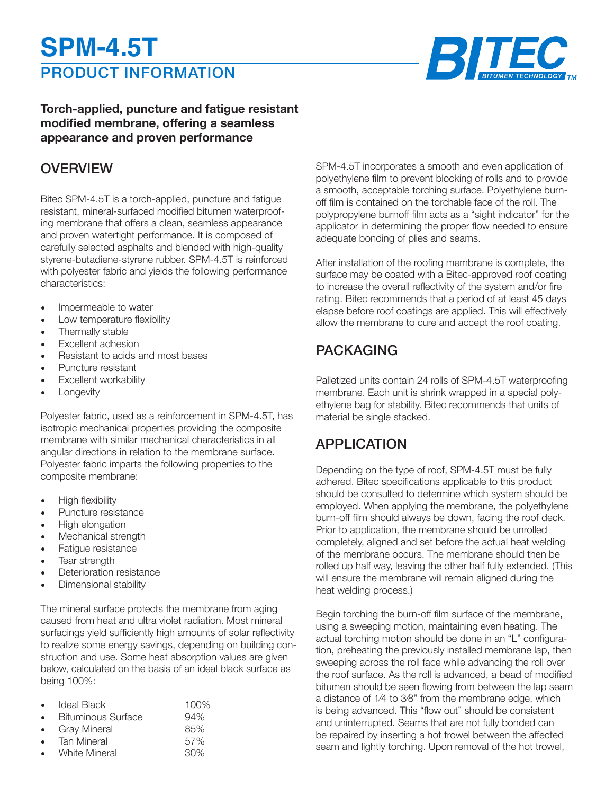# PRODUCT INFORMATION **SPM-4.5T**



### **Torch-applied, puncture and fatigue resistant modified membrane, offering a seamless appearance and proven performance**

### **OVERVIEW**

Bitec SPM-4.5T is a torch-applied, puncture and fatigue resistant, mineral-surfaced modified bitumen waterproofing membrane that offers a clean, seamless appearance and proven watertight performance. It is composed of carefully selected asphalts and blended with high-quality styrene-butadiene-styrene rubber. SPM-4.5T is reinforced with polyester fabric and yields the following performance characteristics:

- Impermeable to water
- Low temperature flexibility
- Thermally stable
- Excellent adhesion
- Resistant to acids and most bases
- Puncture resistant
- Excellent workability
- **Longevity**

Polyester fabric, used as a reinforcement in SPM-4.5T, has isotropic mechanical properties providing the composite membrane with similar mechanical characteristics in all angular directions in relation to the membrane surface. Polyester fabric imparts the following properties to the composite membrane:

- High flexibility
- Puncture resistance
- High elongation
- Mechanical strength
- Fatigue resistance
- Tear strength
- Deterioration resistance
- Dimensional stability

The mineral surface protects the membrane from aging caused from heat and ultra violet radiation. Most mineral surfacings yield sufficiently high amounts of solar reflectivity to realize some energy savings, depending on building construction and use. Some heat absorption values are given below, calculated on the basis of an ideal black surface as being 100%:

| $\bullet$ | Ideal Black               | $100\%$ |
|-----------|---------------------------|---------|
| $\bullet$ | <b>Bituminous Surface</b> | 94%     |
| $\bullet$ | <b>Gray Mineral</b>       | 85%     |
| $\bullet$ | <b>Tan Mineral</b>        | 57%     |
| $\bullet$ | <b>White Mineral</b>      | 30%     |

SPM-4.5T incorporates a smooth and even application of polyethylene film to prevent blocking of rolls and to provide a smooth, acceptable torching surface. Polyethylene burnoff film is contained on the torchable face of the roll. The polypropylene burnoff film acts as a "sight indicator" for the applicator in determining the proper flow needed to ensure adequate bonding of plies and seams.

After installation of the roofing membrane is complete, the surface may be coated with a Bitec-approved roof coating to increase the overall reflectivity of the system and/or fire rating. Bitec recommends that a period of at least 45 days elapse before roof coatings are applied. This will effectively allow the membrane to cure and accept the roof coating.

# PACKAGING

Palletized units contain 24 rolls of SPM-4.5T waterproofing membrane. Each unit is shrink wrapped in a special polyethylene bag for stability. Bitec recommends that units of material be single stacked.

# APPLICATION

Depending on the type of roof, SPM-4.5T must be fully adhered. Bitec specifications applicable to this product should be consulted to determine which system should be employed. When applying the membrane, the polyethylene burn-off film should always be down, facing the roof deck. Prior to application, the membrane should be unrolled completely, aligned and set before the actual heat welding of the membrane occurs. The membrane should then be rolled up half way, leaving the other half fully extended. (This will ensure the membrane will remain aligned during the heat welding process.)

Begin torching the burn-off film surface of the membrane, using a sweeping motion, maintaining even heating. The actual torching motion should be done in an "L" configuration, preheating the previously installed membrane lap, then sweeping across the roll face while advancing the roll over the roof surface. As the roll is advanced, a bead of modified bitumen should be seen flowing from between the lap seam a distance of 1⁄4 to 3⁄8" from the membrane edge, which is being advanced. This "flow out" should be consistent and uninterrupted. Seams that are not fully bonded can be repaired by inserting a hot trowel between the affected seam and lightly torching. Upon removal of the hot trowel,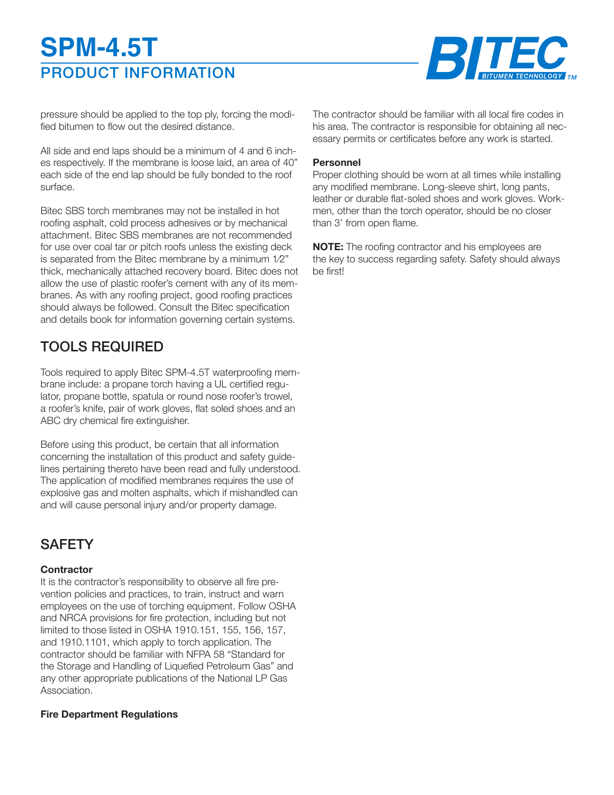# PRODUCT INFORMATION **SPM-4.5T**



pressure should be applied to the top ply, forcing the modified bitumen to flow out the desired distance.

All side and end laps should be a minimum of 4 and 6 inches respectively. If the membrane is loose laid, an area of 40" each side of the end lap should be fully bonded to the roof surface.

Bitec SBS torch membranes may not be installed in hot roofing asphalt, cold process adhesives or by mechanical attachment. Bitec SBS membranes are not recommended for use over coal tar or pitch roofs unless the existing deck is separated from the Bitec membrane by a minimum 1⁄2" thick, mechanically attached recovery board. Bitec does not allow the use of plastic roofer's cement with any of its membranes. As with any roofing project, good roofing practices should always be followed. Consult the Bitec specification and details book for information governing certain systems.

# TOOLS REQUIRED

Tools required to apply Bitec SPM-4.5T waterproofing membrane include: a propane torch having a UL certified regulator, propane bottle, spatula or round nose roofer's trowel, a roofer's knife, pair of work gloves, flat soled shoes and an ABC dry chemical fire extinguisher.

Before using this product, be certain that all information concerning the installation of this product and safety guidelines pertaining thereto have been read and fully understood. The application of modified membranes requires the use of explosive gas and molten asphalts, which if mishandled can and will cause personal injury and/or property damage.

# **SAFETY**

#### **Contractor**

It is the contractor's responsibility to observe all fire prevention policies and practices, to train, instruct and warn employees on the use of torching equipment. Follow OSHA and NRCA provisions for fire protection, including but not limited to those listed in OSHA 1910.151, 155, 156, 157, and 1910.1101, which apply to torch application. The contractor should be familiar with NFPA 58 "Standard for the Storage and Handling of Liquefied Petroleum Gas" and any other appropriate publications of the National LP Gas Association.

#### **Fire Department Regulations**

The contractor should be familiar with all local fire codes in his area. The contractor is responsible for obtaining all necessary permits or certificates before any work is started.

#### **Personnel**

Proper clothing should be worn at all times while installing any modified membrane. Long-sleeve shirt, long pants, leather or durable flat-soled shoes and work gloves. Workmen, other than the torch operator, should be no closer than 3' from open flame.

**NOTE:** The roofing contractor and his employees are the key to success regarding safety. Safety should always be first!